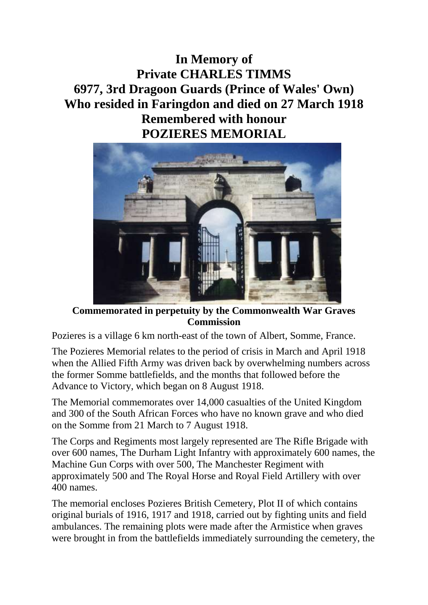## **In Memory of Private CHARLES TIMMS 6977, 3rd Dragoon Guards (Prince of Wales' Own) Who resided in Faringdon and died on 27 March 1918 Remembered with honour POZIERES MEMORIAL**



**Commemorated in perpetuity by the Commonwealth War Graves Commission** 

Pozieres is a village 6 km north-east of the town of Albert, Somme, France.

The Pozieres Memorial relates to the period of crisis in March and April 1918 when the Allied Fifth Army was driven back by overwhelming numbers across the former Somme battlefields, and the months that followed before the Advance to Victory, which began on 8 August 1918.

The Memorial commemorates over 14,000 casualties of the United Kingdom and 300 of the South African Forces who have no known grave and who died on the Somme from 21 March to 7 August 1918.

The Corps and Regiments most largely represented are The Rifle Brigade with over 600 names, The Durham Light Infantry with approximately 600 names, the Machine Gun Corps with over 500, The Manchester Regiment with approximately 500 and The Royal Horse and Royal Field Artillery with over 400 names.

The memorial encloses Pozieres British Cemetery, Plot II of which contains original burials of 1916, 1917 and 1918, carried out by fighting units and field ambulances. The remaining plots were made after the Armistice when graves were brought in from the battlefields immediately surrounding the cemetery, the